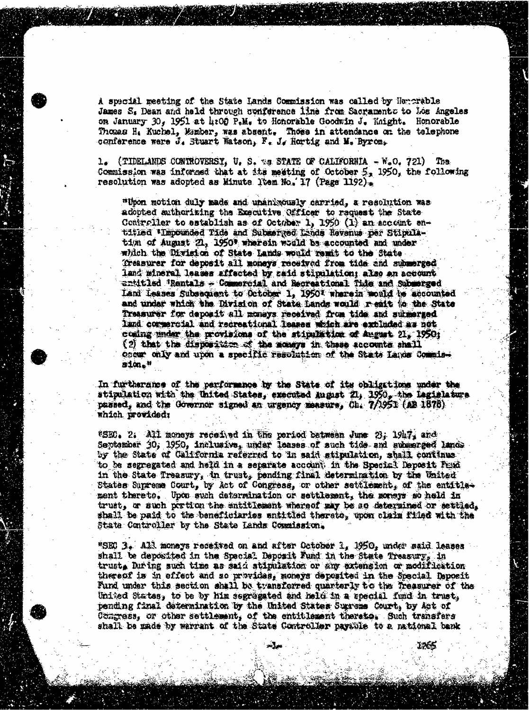A special meeting of the State Lands Commission was called by Honorable James S, Dean and held through conference line from Sacramento to Los Angeles on January 30, 1951 at 4:00 P.M. to Honorable Goodwin J. Knight. Honorable Thomas He Kuchel, Member, was absent. Those in attendance on the telephone conference were  $J_4$  Stuart Watson,  $F_4$   $J_4$  Hortig and M. Byrom,

 $1.$  (TIDELANDS CONTROVERSY, U. S.  $*$  STATE OF CALIFORNIA  $-$  W.O. 721) The Commission was informed that at its mesting of October 5, 1950, the following resolution was adopted as Minute Item No. 17 (Page 1192).

"Upon motion duly made and unanimously carried, a resolution was adopted authorizing the Executive Officer to raquest the State Controller to establish as of October 1, 1950 (1) an account entitled Impounded Tide and Submerged Lands Revenus par Stipulatim of August 21, 1950" wherein would be accounted and under which the Division of State Lands would remit to the State. "Treasurer for deposit all moneys received from tide and submerged land mineral leases affected by zaid stipulation; also an account  $\texttt{card}$  . Rentals  $\neq$  Commercial and Recreational Tide and Submerged Land Leases Subsequent to October 1, 1950% wherein would be accounted and under which the Division of State Lands would reait to the State Treasurer for deposit all moneys received from tide and submerged Land commercial and recreational leases witch are excluded as not coming under the provisions of the stipulation of August 21, 1950; (2) that the disposition of the moneys in these accounts shall occur only and upon a specific resolution of the State Landa Commission."

In furtherance of the performance by the State of its obligations under the stipulation with the United States, executed August 21, 1950, the legislature passed, and the Governor signed an urgency measure, Ch. 7/1951 (AB 1878). which providedy

\*SEC. 2: All moneys received in the period between June 23; 1947, and September 30, 1950, inclusive, under leases of such tide and submerged lands by the State of California referred to in said stipulation, shall continue to be segregated and held in a separate account. in the Special Deposit Fend in the State Treasury, in trust, pending final determination by the United States Supreme Court, by Act of Congress, or other settlement, of the entitlegent thereto. Upon such determination or settlement, the moneys so held in trust, or such portion the entitlement whereof my be so determined or settled, shall be paid to the beneficiaries entitled thereto, upon claim filed with the State Controller by the State Lands Countssion.

"SEC 3, All moneys received on and after October 1, 1950, under said leases shall be deposited in the Special Deposit Fund in the State Treasury, in trust, During such time as said stipulation or any extension or modification thereof is in effect and zo provides, moneys deposited in the Special Deposit Fund under this section shall be transferred quarterly to the Treasurer of the United States, to be by him segregated and held in a special fund in trust, pending final determination by the United States Supreme Court, by Act of Congress, or other settlement, of the entitlement therate, Such transfers shall be made by warrant of the State Controller payable to a national bank